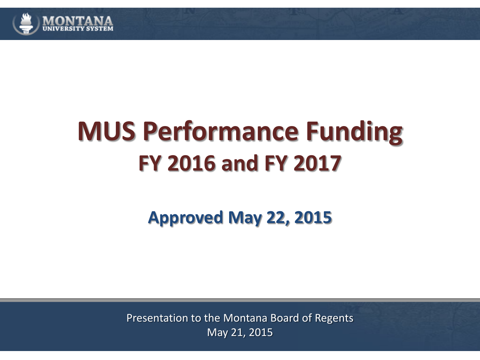

# **MUS Performance Funding FY 2016 and FY 2017**

**Approved May 22, 2015**

Presentation to the Montana Board of Regents May 21, 2015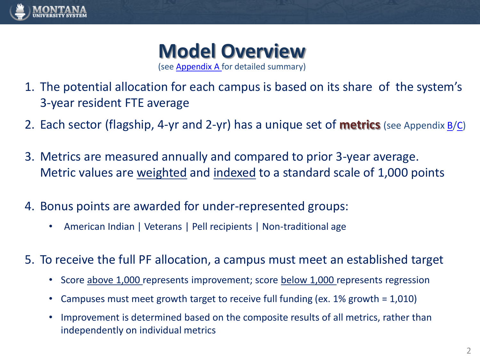

#### **Model Overview** (see [Appendix A](#page-11-0) for detailed summary)

- 1. The potential allocation for each campus is based on its share of the system's 3-year resident FTE average
- 2. Each sector (flagship, 4-yr and 2-yr) has a unique set of **metrics** (see Appendix [B](#page-13-0)[/C\)](#page-14-0)
- 3. Metrics are measured annually and compared to prior 3-year average. Metric values are weighted and indexed to a standard scale of 1,000 points
- 4. Bonus points are awarded for under-represented groups:
	- American Indian | Veterans | Pell recipients | Non-traditional age
- <span id="page-1-0"></span>5. To receive the full PF allocation, a campus must meet an established target
	- Score above 1,000 represents improvement; score below 1,000 represents regression
	- Campuses must meet growth target to receive full funding (ex. 1% growth = 1,010)
	- Improvement is determined based on the composite results of all metrics, rather than independently on individual metrics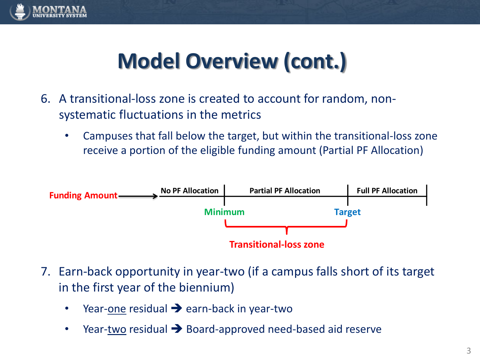

## **Model Overview (cont.)**

- 6. A transitional-loss zone is created to account for random, nonsystematic fluctuations in the metrics
	- Campuses that fall below the target, but within the transitional-loss zone receive a portion of the eligible funding amount (Partial PF Allocation)



- 7. Earn-back opportunity in year-two (if a campus falls short of its target in the first year of the biennium)
	- Year-one residual  $\rightarrow$  earn-back in year-two
	-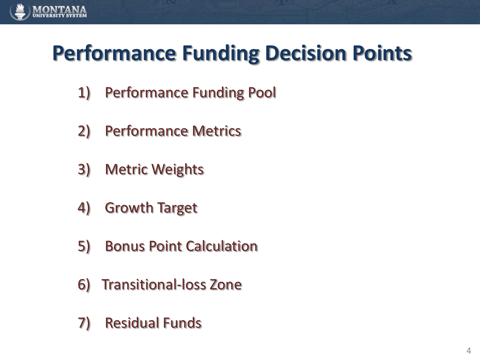

### **Performance Funding Decision Points**

- 1) Performance Funding Pool
- 2) Performance Metrics
- 3) Metric Weights
- 4) Growth Target
- 5) Bonus Point Calculation
- 6) Transitional-loss Zone
- 7) Residual Funds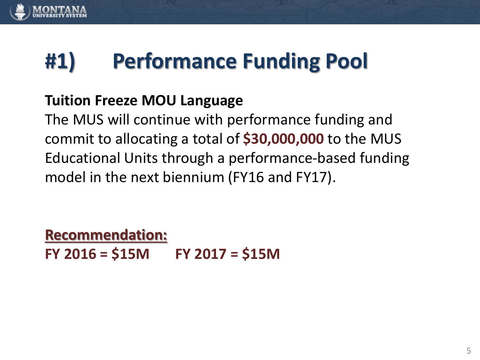

## **#1) Performance Funding Pool**

### **Tuition Freeze MOU Language**

The MUS will continue with performance funding and commit to allocating a total of **\$30,000,000** to the MUS Educational Units through a performance-based funding model in the next biennium (FY16 and FY17).

**Recommendation: FY 2016 = \$15M FY 2017 = \$15M**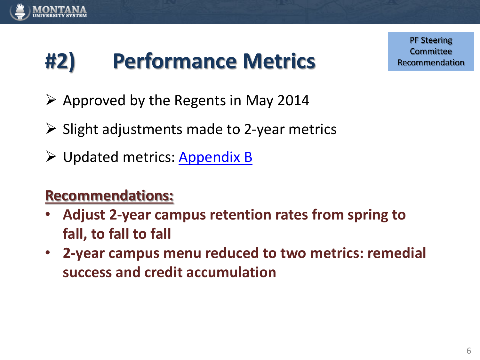

## **#2) Performance Metrics**

PF Steering Committee Recommendation

- $\triangleright$  Approved by the Regents in May 2014
- $\triangleright$  Slight adjustments made to 2-year metrics
- Updated metrics: [Appendix B](#page-13-0)

### **Recommendations:**

- **Adjust 2-year campus retention rates from spring to fall, to fall to fall**
- **2-year campus menu reduced to two metrics: remedial success and credit accumulation**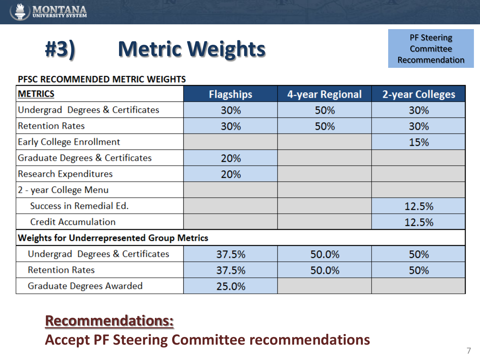

## **#3) Metric Weights**

PF Steering Committee Recommendation

#### PFSC RECOMMENDED METRIC WEIGHTS

| <b>METRICS</b>                                    | <b>Flagships</b> | 4-year Regional | <b>2-year Colleges</b> |  |
|---------------------------------------------------|------------------|-----------------|------------------------|--|
| Undergrad Degrees & Certificates                  | 30%              | 50%             | 30%                    |  |
| Retention Rates                                   | 30%              | 50%             | 30%                    |  |
| <b>Early College Enrollment</b>                   |                  |                 | 15%                    |  |
| <b>Graduate Degrees &amp; Certificates</b>        | 20%              |                 |                        |  |
| <b>Research Expenditures</b>                      | 20%              |                 |                        |  |
| 2 - year College Menu                             |                  |                 |                        |  |
| Success in Remedial Ed.                           |                  |                 | 12.5%                  |  |
| <b>Credit Accumulation</b>                        |                  |                 | 12.5%                  |  |
| <b>Weights for Underrepresented Group Metrics</b> |                  |                 |                        |  |
| Undergrad Degrees & Certificates                  | 37.5%            | 50.0%           | 50%                    |  |
| <b>Retention Rates</b>                            | 37.5%            | 50.0%           | 50%                    |  |
| <b>Graduate Degrees Awarded</b>                   | 25.0%            |                 |                        |  |

### **Recommendations:**

**Accept PF Steering Committee recommendations**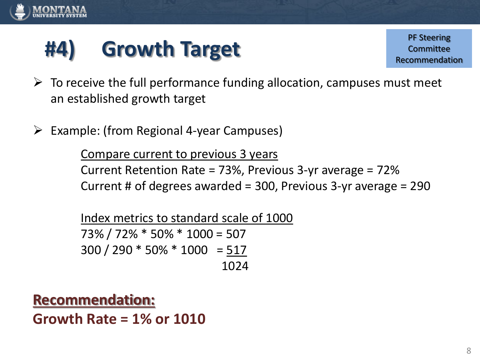

## **#4) Growth Target**

PF Steering Committee Recommendation

- $\triangleright$  To receive the full performance funding allocation, campuses must meet an established growth target
- $\triangleright$  Example: (from Regional 4-year Campuses)

Compare current to previous 3 years Current Retention Rate = 73%, Previous 3-yr average = 72% Current # of degrees awarded = 300, Previous 3-yr average = 290

Index metrics to standard scale of 1000 73% / 72% \* 50% \* 1000 = 507 300 / 290 \* 50% \* 1000 = 517 1024

**Recommendation: Growth Rate = 1% or 1010**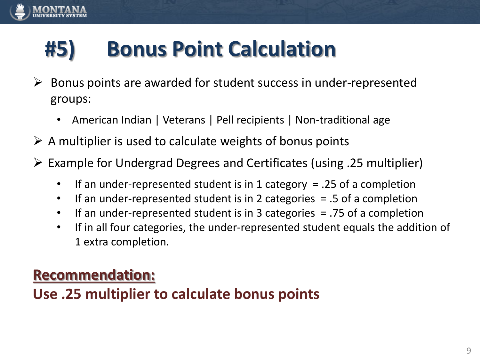# **#5) Bonus Point Calculation**

- $\triangleright$  Bonus points are awarded for student success in under-represented groups:
	- American Indian | Veterans | Pell recipients | Non-traditional age
- $\triangleright$  A multiplier is used to calculate weights of bonus points
- $\triangleright$  Example for Undergrad Degrees and Certificates (using .25 multiplier)
	- If an under-represented student is in 1 category  $= .25$  of a completion
	- If an under-represented student is in 2 categories  $= .5$  of a completion
	- If an under-represented student is in 3 categories = .75 of a completion
	- If in all four categories, the under-represented student equals the addition of 1 extra completion.

### **Recommendation:**

### **Use .25 multiplier to calculate bonus points**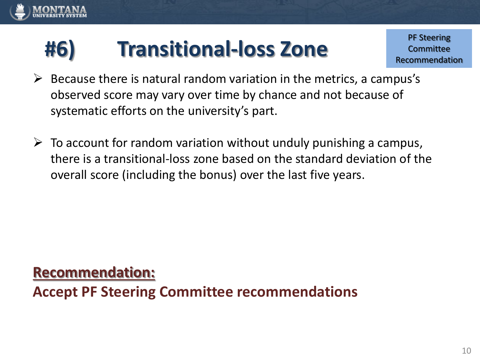# **#6) Transitional-loss Zone**

PF Steering Committee Recommendation

- $\triangleright$  Because there is natural random variation in the metrics, a campus's observed score may vary over time by chance and not because of systematic efforts on the university's part.
- $\triangleright$  To account for random variation without unduly punishing a campus, there is a transitional-loss zone based on the standard deviation of the overall score (including the bonus) over the last five years.

#### **Recommendation:**

**Accept PF Steering Committee recommendations**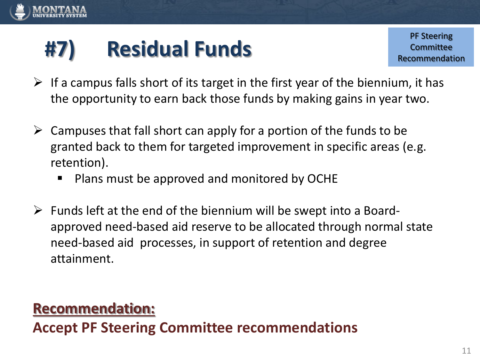

# **#7) Residual Funds**

- $\triangleright$  If a campus falls short of its target in the first year of the biennium, it has the opportunity to earn back those funds by making gains in year two.
- $\triangleright$  Campuses that fall short can apply for a portion of the funds to be granted back to them for targeted improvement in specific areas (e.g. retention).
	- Plans must be approved and monitored by OCHE
- $\triangleright$  Funds left at the end of the biennium will be swept into a Boardapproved need-based aid reserve to be allocated through normal state need-based aid processes, in support of retention and degree attainment.

### **Recommendation:**

**Accept PF Steering Committee recommendations**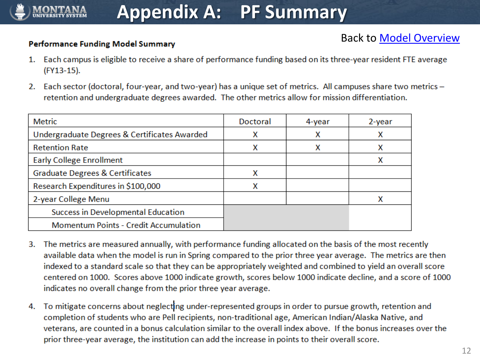#### **Performance Funding Model Summary**

- 1. Each campus is eligible to receive a share of performance funding based on its three-year resident FTE average (FY13-15).
- 2. Each sector (doctoral, four-year, and two-year) has a unique set of metrics. All campuses share two metrics retention and undergraduate degrees awarded. The other metrics allow for mission differentiation.

| <b>Metric</b>                                | Doctoral | 4-year | 2-year |
|----------------------------------------------|----------|--------|--------|
| Undergraduate Degrees & Certificates Awarded | х        | х      | х      |
| <b>Retention Rate</b>                        | x        | x      | х      |
| <b>Early College Enrollment</b>              |          |        |        |
| <b>Graduate Degrees &amp; Certificates</b>   | x        |        |        |
| Research Expenditures in \$100,000           | x        |        |        |
| 2-year College Menu                          |          |        | Χ      |
| Success in Developmental Education           |          |        |        |
| <b>Momentum Points - Credit Accumulation</b> |          |        |        |

- The metrics are measured annually, with performance funding allocated on the basis of the most recently 3. available data when the model is run in Spring compared to the prior three year average. The metrics are then indexed to a standard scale so that they can be appropriately weighted and combined to yield an overall score centered on 1000. Scores above 1000 indicate growth, scores below 1000 indicate decline, and a score of 1000 indicates no overall change from the prior three year average.
- <span id="page-11-0"></span>To mitigate concerns about neglecting under-represented groups in order to pursue growth, retention and 4. completion of students who are Pell recipients, non-traditional age, American Indian/Alaska Native, and veterans, are counted in a bonus calculation similar to the overall index above. If the bonus increases over the prior three-year average, the institution can add the increase in points to their overall score.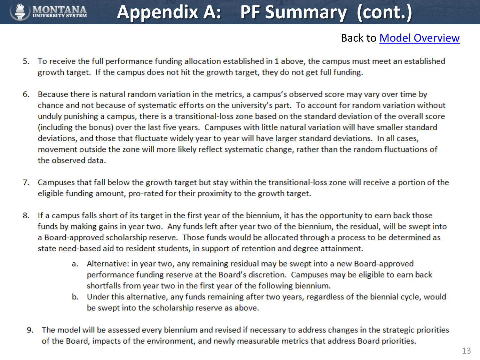

### **Appendix A: PF Summary (cont.)**

- To receive the full performance funding allocation established in 1 above, the campus must meet an established 5. growth target. If the campus does not hit the growth target, they do not get full funding.
- Because there is natural random variation in the metrics, a campus's observed score may vary over time by 6. chance and not because of systematic efforts on the university's part. To account for random variation without unduly punishing a campus, there is a transitional-loss zone based on the standard deviation of the overall score (including the bonus) over the last five years. Campuses with little natural variation will have smaller standard deviations, and those that fluctuate widely year to year will have larger standard deviations. In all cases, movement outside the zone will more likely reflect systematic change, rather than the random fluctuations of the observed data.
- Campuses that fall below the growth target but stay within the transitional-loss zone will receive a portion of the 7. eligible funding amount, pro-rated for their proximity to the growth target.
- 8. If a campus falls short of its target in the first year of the biennium, it has the opportunity to earn back those funds by making gains in year two. Any funds left after year two of the biennium, the residual, will be swept into a Board-approved scholarship reserve. Those funds would be allocated through a process to be determined as state need-based aid to resident students, in support of retention and degree attainment.
	- a. Alternative: in year two, any remaining residual may be swept into a new Board-approved performance funding reserve at the Board's discretion. Campuses may be eligible to earn back shortfalls from year two in the first year of the following biennium.
	- b. Under this alternative, any funds remaining after two years, regardless of the biennial cycle, would be swept into the scholarship reserve as above.
- The model will be assessed every biennium and revised if necessary to address changes in the strategic priorities 9. of the Board, impacts of the environment, and newly measurable metrics that address Board priorities.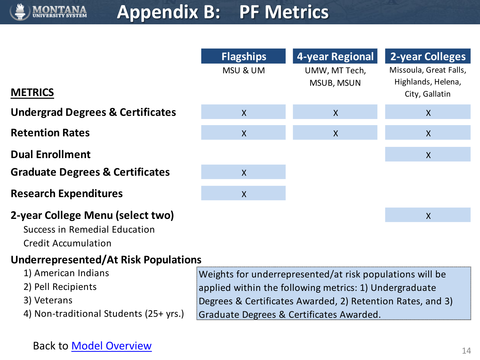

### **Appendix B: PF Metrics**

<span id="page-13-0"></span>

|                                                                                                 | <b>Flagships</b><br>MSU & UM                               | <b>4-year Regional</b><br>UMW, MT Tech,<br>MSUB, MSUN | <b>2-year Colleges</b><br>Missoula, Great Falls,<br>Highlands, Helena, |  |
|-------------------------------------------------------------------------------------------------|------------------------------------------------------------|-------------------------------------------------------|------------------------------------------------------------------------|--|
| <b>METRICS</b>                                                                                  |                                                            |                                                       | City, Gallatin                                                         |  |
| <b>Undergrad Degrees &amp; Certificates</b>                                                     | $\mathsf{X}$                                               | $\boldsymbol{X}$                                      | $\mathsf{X}$                                                           |  |
| <b>Retention Rates</b>                                                                          | $\mathsf{X}$                                               | $\chi$                                                | $\mathsf{X}$                                                           |  |
| <b>Dual Enrollment</b>                                                                          |                                                            |                                                       | $\boldsymbol{X}$                                                       |  |
| <b>Graduate Degrees &amp; Certificates</b>                                                      | $\mathsf{X}$                                               |                                                       |                                                                        |  |
| <b>Research Expenditures</b>                                                                    | $\mathsf{X}$                                               |                                                       |                                                                        |  |
| 2-year College Menu (select two)<br>Success in Remedial Education<br><b>Credit Accumulation</b> |                                                            |                                                       | $\sf X$                                                                |  |
| Underrepresented/At Risk Populations                                                            |                                                            |                                                       |                                                                        |  |
| 1) American Indians                                                                             | Weights for underrepresented/at risk populations will be   |                                                       |                                                                        |  |
| 2) Pell Recipients                                                                              | applied within the following metrics: 1) Undergraduate     |                                                       |                                                                        |  |
| 3) Veterans                                                                                     | Degrees & Certificates Awarded, 2) Retention Rates, and 3) |                                                       |                                                                        |  |
| 4) Non-traditional Students (25+ yrs.)                                                          | Graduate Degrees & Certificates Awarded.                   |                                                       |                                                                        |  |